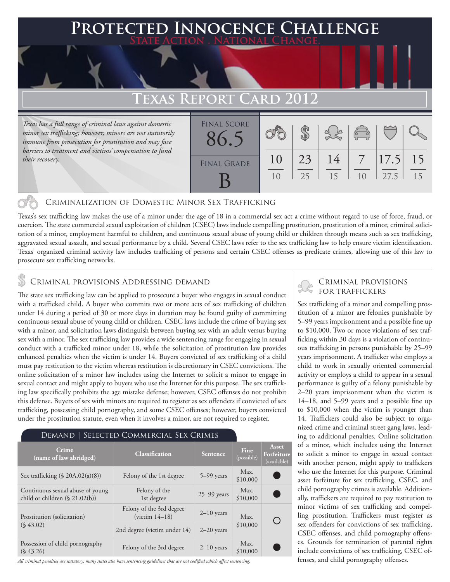# **Protected Innocence Challenge State Action . National Change. Texas Report Card 2012** *Texas has a full range of criminal laws against domestic minor sex trafficking; however, minors are not statutorily immune from prosecution for prostitution and may face barriers to treatment and victims' compensation to fund*  \$ Final Score 86.5

## Criminalization of Domestic Minor Sex Trafficking

Texas's sex trafficking law makes the use of a minor under the age of 18 in a commercial sex act a crime without regard to use of force, fraud, or coercion. The state commercial sexual exploitation of children (CSEC) laws include compelling prostitution, prostitution of a minor, criminal solicitation of a minor, employment harmful to children, and continuous sexual abuse of young child or children through means such as sex trafficking, aggravated sexual assault, and sexual performance by a child. Several CSEC laws refer to the sex trafficking law to help ensure victim identification. Texas' organized criminal activity law includes trafficking of persons and certain CSEC offenses as predicate crimes, allowing use of this law to prosecute sex trafficking networks.

FINAL GRADE

B

10

25

15

14

23

10

## **S** CRIMINAL PROVISIONS ADDRESSING DEMAND

*their recovery.*

The state sex trafficking law can be applied to prosecute a buyer who engages in sexual conduct with a trafficked child. A buyer who commits two or more acts of sex trafficking of children under 14 during a period of 30 or more days in duration may be found guilty of committing continuous sexual abuse of young child or children. CSEC laws include the crime of buying sex with a minor, and solicitation laws distinguish between buying sex with an adult versus buying sex with a minor. The sex trafficking law provides a wide sentencing range for engaging in sexual conduct with a trafficked minor under 18, while the solicitation of prostitution law provides enhanced penalties when the victim is under 14. Buyers convicted of sex trafficking of a child must pay restitution to the victim whereas restitution is discretionary in CSEC convictions. The online solicitation of a minor law includes using the Internet to solicit a minor to engage in sexual contact and might apply to buyers who use the Internet for this purpose. The sex trafficking law specifically prohibits the age mistake defense; however, CSEC offenses do not prohibit this defense. Buyers of sex with minors are required to register as sex offenders if convicted of sex trafficking, possessing child pornography, and some CSEC offenses; however, buyers convicted under the prostitution statute, even when it involves a minor, are not required to register.

#### Demand | Selected Commercial Sex Crimes

| Crime<br>(name of law abridged)                                    | <b>Classification</b>                         | <b>Sentence</b> | Fine<br>(possible) | Asset<br>Forfeiture<br>(available) |
|--------------------------------------------------------------------|-----------------------------------------------|-----------------|--------------------|------------------------------------|
| Sex trafficking $(\S$ 20A.02(a)(8))                                | Felony of the 1st degree                      | $5-99$ years    | Max.<br>\$10,000   |                                    |
| Continuous sexual abuse of young<br>child or children (§ 21.02(b)) | Felony of the<br>1st degree                   | $25 - 99$ years | Max.<br>\$10,000   |                                    |
| Prostitution (solicitation)<br>$(S\,43.02)$                        | Felony of the 3rd degree<br>(victim $14-18$ ) | $2-10$ years    | Max.<br>\$10,000   |                                    |
|                                                                    | 2nd degree (victim under 14)                  | $2-20$ years    |                    |                                    |
| Possession of child pornography<br>$(S\,43.26)$                    | Felony of the 3rd degree                      | $2-10$ years    | Max.<br>\$10,000   |                                    |

*All criminal penalties are statutory; many states also have sentencing guidelines that are not codified which affect sentencing.* 

### Criminal provisions for traffickers

10

27.5

15

15

17.5

 $\overline{\phantom{a}}$ 

Sex trafficking of a minor and compelling prostitution of a minor are felonies punishable by 5–99 years imprisonment and a possible fine up to \$10,000. Two or more violations of sex trafficking within 30 days is a violation of continuous trafficking in persons punishable by 25–99 years imprisonment. A trafficker who employs a child to work in sexually oriented commercial activity or employs a child to appear in a sexual performance is guilty of a felony punishable by 2–20 years imprisonment when the victim is 14–18, and 5–99 years and a possible fine up to \$10,000 when the victim is younger than 14. Traffickers could also be subject to organized crime and criminal street gang laws, leading to additional penalties. Online solicitation of a minor, which includes using the Internet to solicit a minor to engage in sexual contact with another person, might apply to traffickers who use the Internet for this purpose. Criminal asset forfeiture for sex trafficking, CSEC, and child pornography crimes is available. Additionally, traffickers are required to pay restitution to minor victims of sex trafficking and compelling prostitution. Traffickers must register as sex offenders for convictions of sex trafficking, CSEC offenses, and child pornography offenses. Grounds for termination of parental rights include convictions of sex trafficking, CSEC offenses, and child pornography offenses.